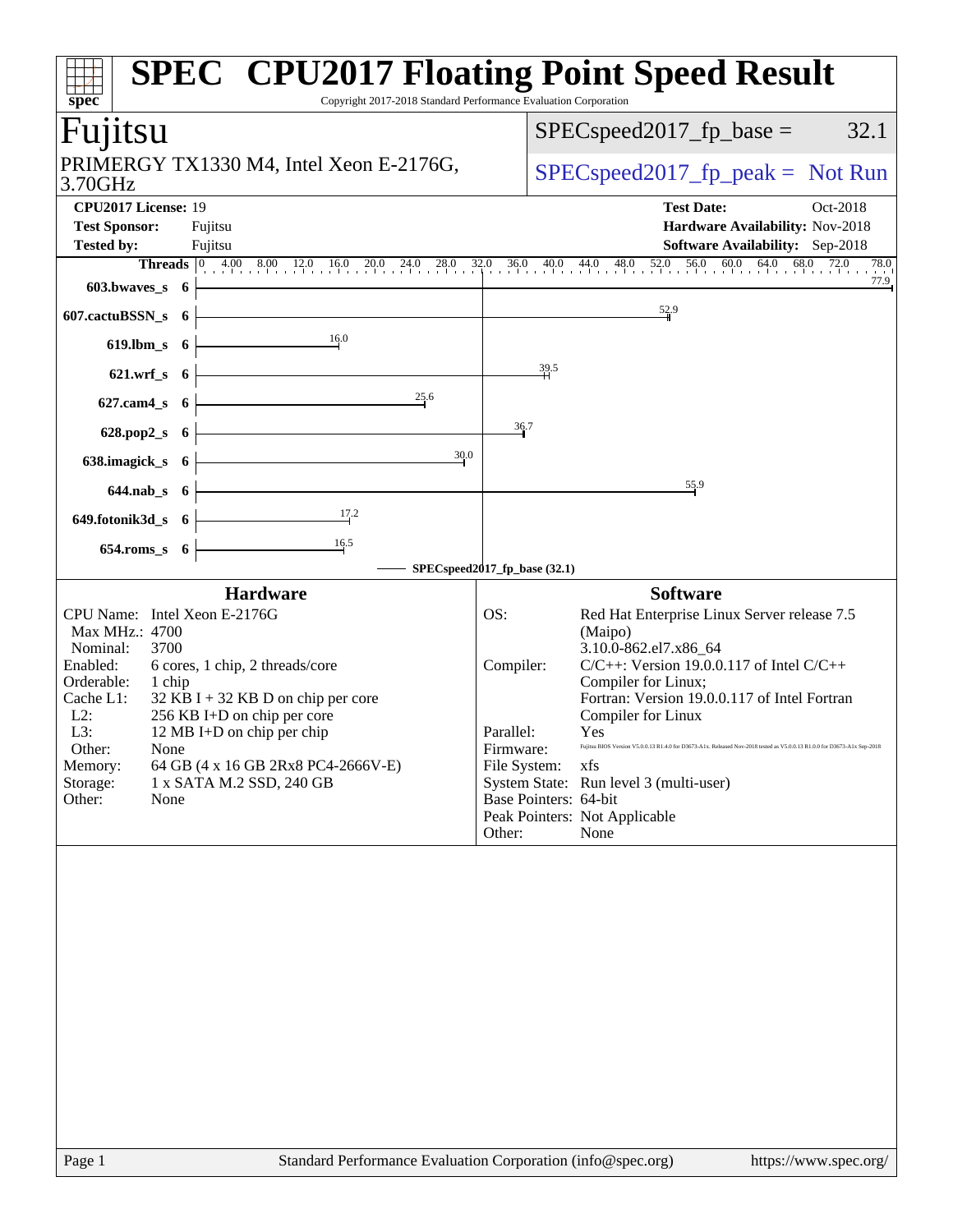| spec®                                                                                                                                                                                           |                       | Copyright 2017-2018 Standard Performance Evaluation Corporation                                                                                                                                        |                                                                                               |      | <b>SPEC<sup>®</sup> CPU2017 Floating Point Speed Result</b>                                                                                                                                                                                                                                                                                                                                                                                                       |
|-------------------------------------------------------------------------------------------------------------------------------------------------------------------------------------------------|-----------------------|--------------------------------------------------------------------------------------------------------------------------------------------------------------------------------------------------------|-----------------------------------------------------------------------------------------------|------|-------------------------------------------------------------------------------------------------------------------------------------------------------------------------------------------------------------------------------------------------------------------------------------------------------------------------------------------------------------------------------------------------------------------------------------------------------------------|
| Fujitsu                                                                                                                                                                                         |                       |                                                                                                                                                                                                        |                                                                                               |      | 32.1<br>$SPEC speed2017fp base =$                                                                                                                                                                                                                                                                                                                                                                                                                                 |
| PRIMERGY TX1330 M4, Intel Xeon E-2176G,<br>3.70GHz                                                                                                                                              |                       |                                                                                                                                                                                                        |                                                                                               |      | $SPEC speed2017fr peak = Not Run$                                                                                                                                                                                                                                                                                                                                                                                                                                 |
| CPU2017 License: 19<br><b>Test Sponsor:</b><br><b>Tested by:</b><br>$603.bwaves$ 6                                                                                                              | Fujitsu<br>Fujitsu    |                                                                                                                                                                                                        |                                                                                               |      | <b>Test Date:</b><br>Oct-2018<br>Hardware Availability: Nov-2018<br><b>Software Availability:</b> Sep-2018<br><b>Threads</b> $\begin{bmatrix} 0 & 4.00 & 8.00 & 12.0 & 16.0 & 20.0 & 24.0 & 28.0 & 32.0 & 36.0 & 40.0 & 44.0 & 48.0 & 52.0 & 56.0 & 60.0 & 64.0 & 68.0 & 72.0 \\ 0 & 0 & 0 & 0 & 0 & 0 & 0 & 0 & 0 & 0 \\ 0 & 0 & 0 & 0 & 0 & 0 & 0 & 0 & 0 \\ 0 & 0 & 0 & 0 & 0 & 0 & 0 & 0 & 0 \\ 0 & 0 & 0 & $<br>78.0<br>77.9                                 |
| 607.cactuBSSN_s 6                                                                                                                                                                               |                       |                                                                                                                                                                                                        |                                                                                               |      | 52.9                                                                                                                                                                                                                                                                                                                                                                                                                                                              |
| $619.$ lbm_s                                                                                                                                                                                    | - 6                   | 16.0                                                                                                                                                                                                   |                                                                                               |      |                                                                                                                                                                                                                                                                                                                                                                                                                                                                   |
| $621.wrf$ <sub>S</sub><br>627.cam4_s                                                                                                                                                            | - 6<br>6 <sup>1</sup> | 25.6                                                                                                                                                                                                   |                                                                                               | 39.5 |                                                                                                                                                                                                                                                                                                                                                                                                                                                                   |
| 628.pop2_s                                                                                                                                                                                      | 6 <sup>1</sup>        |                                                                                                                                                                                                        | 36.7                                                                                          |      |                                                                                                                                                                                                                                                                                                                                                                                                                                                                   |
| 638.imagick_s                                                                                                                                                                                   | - 6                   | 30.0                                                                                                                                                                                                   |                                                                                               |      | 55.9                                                                                                                                                                                                                                                                                                                                                                                                                                                              |
| $644$ .nab $s$ 6<br>649.fotonik3d_s 6                                                                                                                                                           |                       | 17.2                                                                                                                                                                                                   |                                                                                               |      |                                                                                                                                                                                                                                                                                                                                                                                                                                                                   |
| $654$ .roms_s $6$                                                                                                                                                                               |                       | SPECspeed2017_fp_base (32.1)                                                                                                                                                                           |                                                                                               |      |                                                                                                                                                                                                                                                                                                                                                                                                                                                                   |
|                                                                                                                                                                                                 |                       | <b>Hardware</b>                                                                                                                                                                                        |                                                                                               |      | <b>Software</b>                                                                                                                                                                                                                                                                                                                                                                                                                                                   |
| CPU Name: Intel Xeon E-2176G<br>Max MHz.: 4700<br>Nominal:<br>3700<br>Enabled:<br>Orderable:<br>1 chip<br>Cache L1:<br>$L2$ :<br>L3:<br>Other:<br>None<br>Memory:<br>Storage:<br>Other:<br>None |                       | 6 cores, 1 chip, 2 threads/core<br>$32$ KB I + 32 KB D on chip per core<br>256 KB I+D on chip per core<br>12 MB I+D on chip per chip<br>64 GB (4 x 16 GB 2Rx8 PC4-2666V-E)<br>1 x SATA M.2 SSD, 240 GB | OS:<br>Compiler:<br>Parallel:<br>Firmware:<br>File System:<br>Base Pointers: 64-bit<br>Other: |      | Red Hat Enterprise Linux Server release 7.5<br>(Maipo)<br>3.10.0-862.el7.x86_64<br>$C/C++$ : Version 19.0.0.117 of Intel $C/C++$<br>Compiler for Linux;<br>Fortran: Version 19.0.0.117 of Intel Fortran<br>Compiler for Linux<br><b>Yes</b><br>Fujitsu BIOS Version V5.0.0.13 R1.4.0 for D3673-A1x. Released Nov-2018 tested as V5.0.0.13 R1.0.0 for D3673-A1x Sep-2018<br>xfs<br>System State: Run level 3 (multi-user)<br>Peak Pointers: Not Applicable<br>None |
| Page 1                                                                                                                                                                                          |                       | Standard Performance Evaluation Corporation (info@spec.org)                                                                                                                                            |                                                                                               |      | https://www.spec.org/                                                                                                                                                                                                                                                                                                                                                                                                                                             |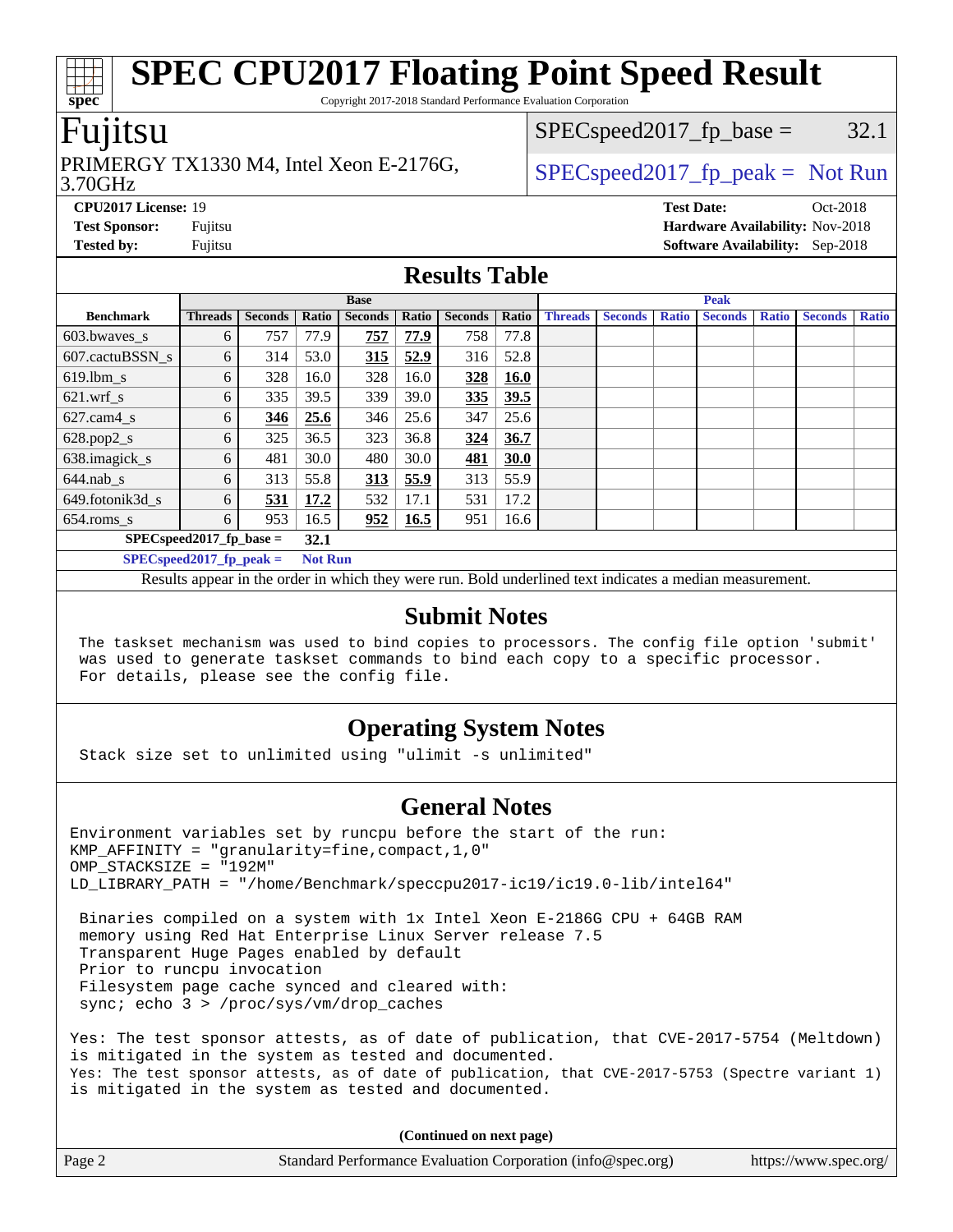Copyright 2017-2018 Standard Performance Evaluation Corporation

### Fujitsu

**[spec](http://www.spec.org/)**

#### 3.70GHz PRIMERGY TX1330 M4, Intel Xeon E-2176G,  $\vert$  [SPECspeed2017\\_fp\\_peak =](http://www.spec.org/auto/cpu2017/Docs/result-fields.html#SPECspeed2017fppeak) Not Run

 $SPEC speed2017_fp\_base = 32.1$ 

**[CPU2017 License:](http://www.spec.org/auto/cpu2017/Docs/result-fields.html#CPU2017License)** 19 **[Test Date:](http://www.spec.org/auto/cpu2017/Docs/result-fields.html#TestDate)** Oct-2018 **[Test Sponsor:](http://www.spec.org/auto/cpu2017/Docs/result-fields.html#TestSponsor)** Fujitsu **[Hardware Availability:](http://www.spec.org/auto/cpu2017/Docs/result-fields.html#HardwareAvailability)** Nov-2018 **[Tested by:](http://www.spec.org/auto/cpu2017/Docs/result-fields.html#Testedby)** Fujitsu **[Software Availability:](http://www.spec.org/auto/cpu2017/Docs/result-fields.html#SoftwareAvailability)** Sep-2018

### **[Results Table](http://www.spec.org/auto/cpu2017/Docs/result-fields.html#ResultsTable)**

|                            |                |                | <b>Base</b>    |                |              |                |             | <b>Peak</b>    |                |              |                |              |                |              |
|----------------------------|----------------|----------------|----------------|----------------|--------------|----------------|-------------|----------------|----------------|--------------|----------------|--------------|----------------|--------------|
| <b>Benchmark</b>           | <b>Threads</b> | <b>Seconds</b> | Ratio          | <b>Seconds</b> | <b>Ratio</b> | <b>Seconds</b> | Ratio       | <b>Threads</b> | <b>Seconds</b> | <b>Ratio</b> | <b>Seconds</b> | <b>Ratio</b> | <b>Seconds</b> | <b>Ratio</b> |
| 603.bwayes_s               | 6              | 757            | 77.9           | 757            | 77.9         | 758            | 77.8        |                |                |              |                |              |                |              |
| 607.cactuBSSN s            | 6              | 314            | 53.0           | 315            | 52.9         | 316            | 52.8        |                |                |              |                |              |                |              |
| $619.$ lbm_s               | 6              | 328            | 16.0           | 328            | 16.0         | 328            | <b>16.0</b> |                |                |              |                |              |                |              |
| $621$ .wrf s               | 6              | 335            | 39.5           | 339            | 39.0         | 335            | 39.5        |                |                |              |                |              |                |              |
| $627$ .cam4 s              | 6              | <u>346</u>     | 25.6           | 346            | 25.6         | 347            | 25.6        |                |                |              |                |              |                |              |
| $628.pop2_s$               | 6              | 325            | 36.5           | 323            | 36.8         | 324            | 36.7        |                |                |              |                |              |                |              |
| 638.imagick_s              | 6              | 481            | 30.0           | 480            | 30.0         | 481            | 30.0        |                |                |              |                |              |                |              |
| $644$ .nab s               | 6              | 313            | 55.8           | 313            | 55.9         | 313            | 55.9        |                |                |              |                |              |                |              |
| 649.fotonik3d s            | 6              | 531            | 17.2           | 532            | 17.1         | 531            | 17.2        |                |                |              |                |              |                |              |
| $654$ .roms s              | 6              | 953            | 16.5           | 952            | 16.5         | 951            | 16.6        |                |                |              |                |              |                |              |
| $SPECspeed2017_fp\_base =$ |                |                | 32.1           |                |              |                |             |                |                |              |                |              |                |              |
| $SPECspeed2017$ fp peak =  |                |                | <b>Not Run</b> |                |              |                |             |                |                |              |                |              |                |              |

Results appear in the [order in which they were run.](http://www.spec.org/auto/cpu2017/Docs/result-fields.html#RunOrder) Bold underlined text [indicates a median measurement.](http://www.spec.org/auto/cpu2017/Docs/result-fields.html#Median)

### **[Submit Notes](http://www.spec.org/auto/cpu2017/Docs/result-fields.html#SubmitNotes)**

 The taskset mechanism was used to bind copies to processors. The config file option 'submit' was used to generate taskset commands to bind each copy to a specific processor. For details, please see the config file.

### **[Operating System Notes](http://www.spec.org/auto/cpu2017/Docs/result-fields.html#OperatingSystemNotes)**

Stack size set to unlimited using "ulimit -s unlimited"

### **[General Notes](http://www.spec.org/auto/cpu2017/Docs/result-fields.html#GeneralNotes)**

Environment variables set by runcpu before the start of the run: KMP AFFINITY = "granularity=fine, compact,  $1,0$ " OMP\_STACKSIZE = "192M" LD\_LIBRARY\_PATH = "/home/Benchmark/speccpu2017-ic19/ic19.0-lib/intel64"

 Binaries compiled on a system with 1x Intel Xeon E-2186G CPU + 64GB RAM memory using Red Hat Enterprise Linux Server release 7.5 Transparent Huge Pages enabled by default Prior to runcpu invocation Filesystem page cache synced and cleared with: sync; echo 3 > /proc/sys/vm/drop\_caches

Yes: The test sponsor attests, as of date of publication, that CVE-2017-5754 (Meltdown) is mitigated in the system as tested and documented. Yes: The test sponsor attests, as of date of publication, that CVE-2017-5753 (Spectre variant 1) is mitigated in the system as tested and documented.

**(Continued on next page)**

| Page 2 | Standard Performance Evaluation Corporation (info@spec.org) | https://www.spec.org/ |
|--------|-------------------------------------------------------------|-----------------------|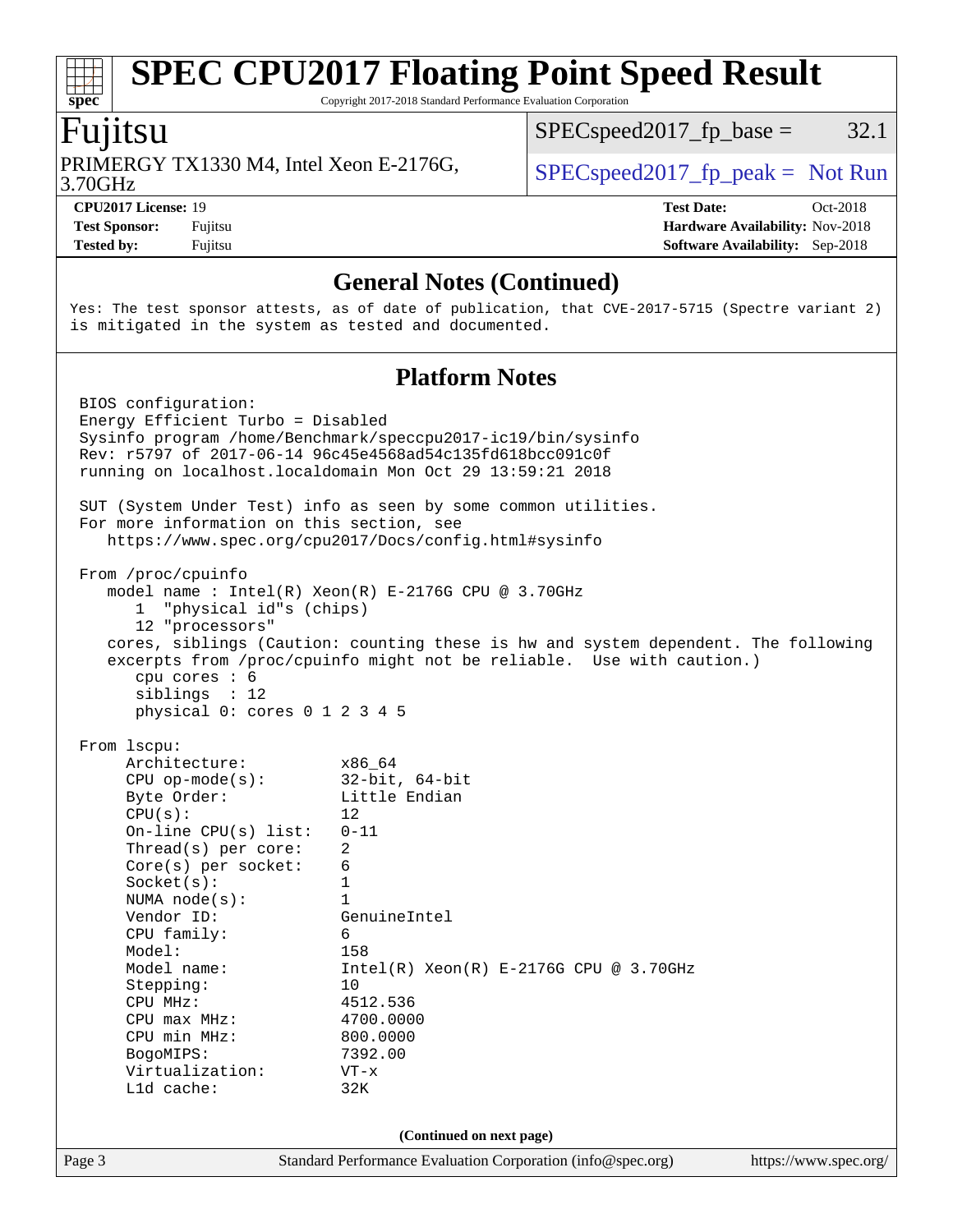Copyright 2017-2018 Standard Performance Evaluation Corporation

## Fujitsu

**[spec](http://www.spec.org/)**

3.70GHz PRIMERGY TX1330 M4, Intel Xeon E-2176G,  $SPEC speed2017_fp_peak = Not Run$ 

 $SPECspeed2017_fp\_base = 32.1$ 

**[Tested by:](http://www.spec.org/auto/cpu2017/Docs/result-fields.html#Testedby)** Fujitsu **[Software Availability:](http://www.spec.org/auto/cpu2017/Docs/result-fields.html#SoftwareAvailability)** Sep-2018

**[CPU2017 License:](http://www.spec.org/auto/cpu2017/Docs/result-fields.html#CPU2017License)** 19 **[Test Date:](http://www.spec.org/auto/cpu2017/Docs/result-fields.html#TestDate)** Oct-2018 **[Test Sponsor:](http://www.spec.org/auto/cpu2017/Docs/result-fields.html#TestSponsor)** Fujitsu **[Hardware Availability:](http://www.spec.org/auto/cpu2017/Docs/result-fields.html#HardwareAvailability)** Nov-2018

### **[General Notes \(Continued\)](http://www.spec.org/auto/cpu2017/Docs/result-fields.html#GeneralNotes)**

Yes: The test sponsor attests, as of date of publication, that CVE-2017-5715 (Spectre variant 2) is mitigated in the system as tested and documented.

### **[Platform Notes](http://www.spec.org/auto/cpu2017/Docs/result-fields.html#PlatformNotes)**

| Page 3 |                                                                                                                                                             | Standard Performance Evaluation Corporation (info@spec.org) | https://www.spec.org/ |  |  |  |  |
|--------|-------------------------------------------------------------------------------------------------------------------------------------------------------------|-------------------------------------------------------------|-----------------------|--|--|--|--|
|        |                                                                                                                                                             | (Continued on next page)                                    |                       |  |  |  |  |
|        | L1d cache:                                                                                                                                                  | 32K                                                         |                       |  |  |  |  |
|        | Virtualization:                                                                                                                                             | $VT - x$                                                    |                       |  |  |  |  |
|        | BogoMIPS:                                                                                                                                                   | 800.0000<br>7392.00                                         |                       |  |  |  |  |
|        | $CPU$ max $MHz$ :<br>CPU min MHz:                                                                                                                           | 4700.0000                                                   |                       |  |  |  |  |
|        | CPU MHz:                                                                                                                                                    | 4512.536                                                    |                       |  |  |  |  |
|        | Stepping:                                                                                                                                                   | 10                                                          |                       |  |  |  |  |
|        | Model name:                                                                                                                                                 | $Intel(R) Xeon(R) E-2176G CPU @ 3.70GHz$                    |                       |  |  |  |  |
|        | Model:                                                                                                                                                      | 158                                                         |                       |  |  |  |  |
|        | CPU family:                                                                                                                                                 | 6                                                           |                       |  |  |  |  |
|        | Vendor ID:                                                                                                                                                  | GenuineIntel                                                |                       |  |  |  |  |
|        | NUMA $node(s)$ :                                                                                                                                            | $\mathbf{1}$                                                |                       |  |  |  |  |
|        | Socket(s):                                                                                                                                                  | $\mathbf{1}$                                                |                       |  |  |  |  |
|        | $Core(s)$ per socket:                                                                                                                                       | 6                                                           |                       |  |  |  |  |
|        | Thread( $s$ ) per core:                                                                                                                                     | 2                                                           |                       |  |  |  |  |
|        | $On$ -line CPU $(s)$ list:                                                                                                                                  | $0 - 11$                                                    |                       |  |  |  |  |
|        | CPU(s):                                                                                                                                                     | 12                                                          |                       |  |  |  |  |
|        | Byte Order:                                                                                                                                                 | Little Endian                                               |                       |  |  |  |  |
|        | $CPU$ op-mode( $s$ ):                                                                                                                                       | $32$ -bit, $64$ -bit                                        |                       |  |  |  |  |
|        | From 1scpu:<br>Architecture:                                                                                                                                | x86 64                                                      |                       |  |  |  |  |
|        |                                                                                                                                                             |                                                             |                       |  |  |  |  |
|        | physical 0: cores 0 1 2 3 4 5                                                                                                                               |                                                             |                       |  |  |  |  |
|        | siblings : 12                                                                                                                                               |                                                             |                       |  |  |  |  |
|        | cpu cores $: 6$                                                                                                                                             |                                                             |                       |  |  |  |  |
|        | cores, siblings (Caution: counting these is hw and system dependent. The following<br>excerpts from /proc/cpuinfo might not be reliable. Use with caution.) |                                                             |                       |  |  |  |  |
|        | 12 "processors"                                                                                                                                             |                                                             |                       |  |  |  |  |
|        | "physical id"s (chips)<br>1                                                                                                                                 |                                                             |                       |  |  |  |  |
|        | model name: Intel(R) Xeon(R) E-2176G CPU @ 3.70GHz                                                                                                          |                                                             |                       |  |  |  |  |
|        | From /proc/cpuinfo                                                                                                                                          |                                                             |                       |  |  |  |  |
|        |                                                                                                                                                             |                                                             |                       |  |  |  |  |
|        | For more information on this section, see<br>https://www.spec.org/cpu2017/Docs/config.html#sysinfo                                                          |                                                             |                       |  |  |  |  |
|        | SUT (System Under Test) info as seen by some common utilities.                                                                                              |                                                             |                       |  |  |  |  |
|        |                                                                                                                                                             |                                                             |                       |  |  |  |  |
|        | running on localhost.localdomain Mon Oct 29 13:59:21 2018                                                                                                   |                                                             |                       |  |  |  |  |
|        | Rev: r5797 of 2017-06-14 96c45e4568ad54c135fd618bcc091c0f                                                                                                   |                                                             |                       |  |  |  |  |
|        | Sysinfo program /home/Benchmark/speccpu2017-ic19/bin/sysinfo                                                                                                |                                                             |                       |  |  |  |  |
|        | BIOS configuration:<br>Energy Efficient Turbo = Disabled                                                                                                    |                                                             |                       |  |  |  |  |
|        |                                                                                                                                                             |                                                             |                       |  |  |  |  |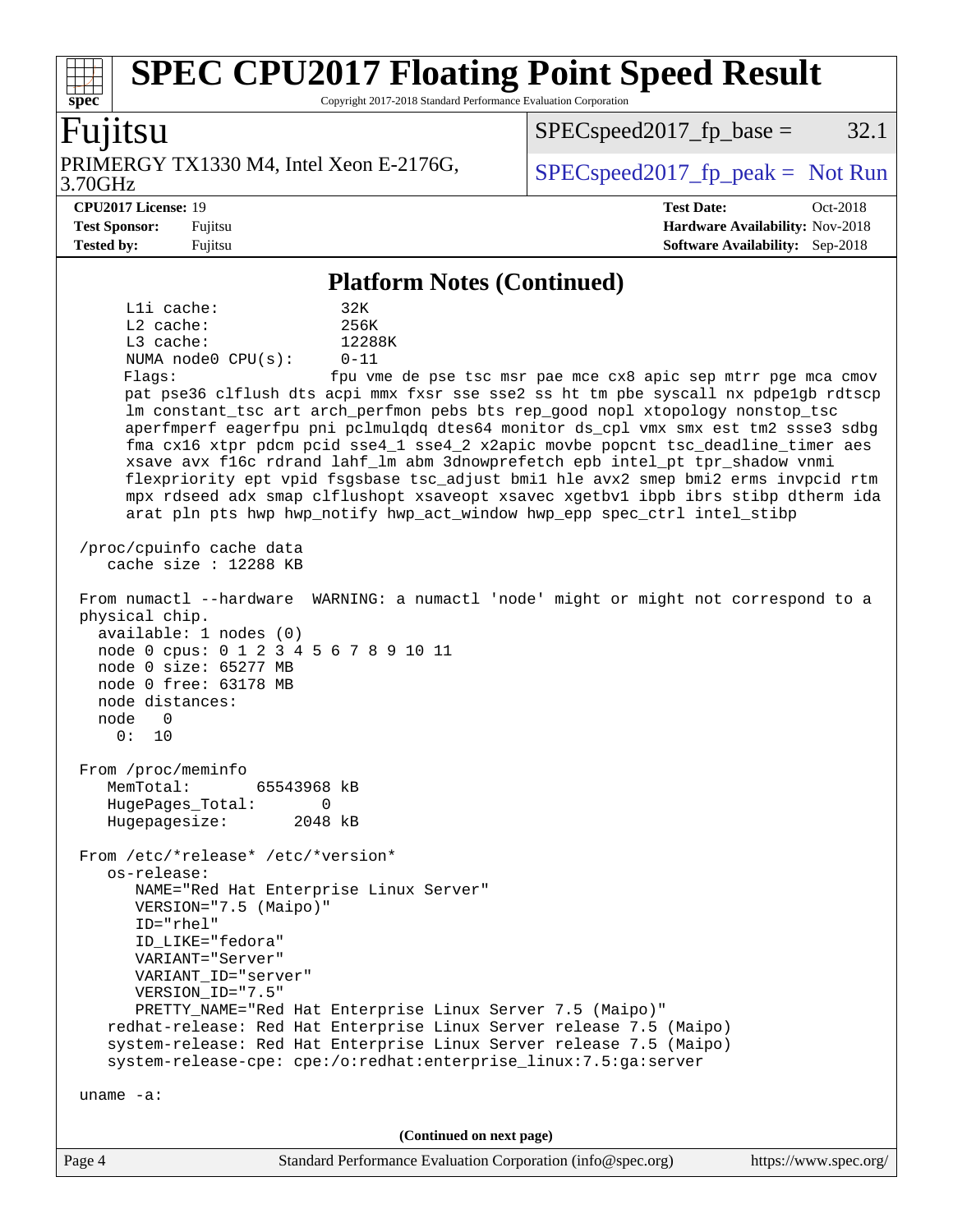Copyright 2017-2018 Standard Performance Evaluation Corporation

### Fujitsu

**[spec](http://www.spec.org/)**

3.70GHz PRIMERGY TX1330 M4, Intel Xeon E-2176G,  $\vert$  [SPECspeed2017\\_fp\\_peak =](http://www.spec.org/auto/cpu2017/Docs/result-fields.html#SPECspeed2017fppeak) Not Run

 $SPEC speed2017_fp\_base = 32.1$ 

**[CPU2017 License:](http://www.spec.org/auto/cpu2017/Docs/result-fields.html#CPU2017License)** 19 **[Test Date:](http://www.spec.org/auto/cpu2017/Docs/result-fields.html#TestDate)** Oct-2018 **[Test Sponsor:](http://www.spec.org/auto/cpu2017/Docs/result-fields.html#TestSponsor)** Fujitsu **[Hardware Availability:](http://www.spec.org/auto/cpu2017/Docs/result-fields.html#HardwareAvailability)** Nov-2018 **[Tested by:](http://www.spec.org/auto/cpu2017/Docs/result-fields.html#Testedby)** Fujitsu **[Software Availability:](http://www.spec.org/auto/cpu2017/Docs/result-fields.html#SoftwareAvailability)** Sep-2018

### **[Platform Notes \(Continued\)](http://www.spec.org/auto/cpu2017/Docs/result-fields.html#PlatformNotes)**

L1i cache: 32K L2 cache: 256K L3 cache: 12288K NUMA node0 CPU(s): 0-11 Flags: fpu vme de pse tsc msr pae mce cx8 apic sep mtrr pge mca cmov pat pse36 clflush dts acpi mmx fxsr sse sse2 ss ht tm pbe syscall nx pdpe1gb rdtscp lm constant\_tsc art arch\_perfmon pebs bts rep\_good nopl xtopology nonstop\_tsc aperfmperf eagerfpu pni pclmulqdq dtes64 monitor ds\_cpl vmx smx est tm2 ssse3 sdbg fma cx16 xtpr pdcm pcid sse4\_1 sse4\_2 x2apic movbe popcnt tsc\_deadline\_timer aes xsave avx f16c rdrand lahf\_lm abm 3dnowprefetch epb intel\_pt tpr\_shadow vnmi flexpriority ept vpid fsgsbase tsc\_adjust bmi1 hle avx2 smep bmi2 erms invpcid rtm mpx rdseed adx smap clflushopt xsaveopt xsavec xgetbv1 ibpb ibrs stibp dtherm ida arat pln pts hwp hwp\_notify hwp\_act\_window hwp\_epp spec\_ctrl intel\_stibp /proc/cpuinfo cache data cache size : 12288 KB From numactl --hardware WARNING: a numactl 'node' might or might not correspond to a physical chip. available: 1 nodes (0) node 0 cpus: 0 1 2 3 4 5 6 7 8 9 10 11 node 0 size: 65277 MB node 0 free: 63178 MB node distances: node 0 0: 10 From /proc/meminfo MemTotal: 65543968 kB HugePages\_Total: 0 Hugepagesize: 2048 kB From /etc/\*release\* /etc/\*version\* os-release: NAME="Red Hat Enterprise Linux Server" VERSION="7.5 (Maipo)" ID="rhel" ID\_LIKE="fedora" VARIANT="Server" VARIANT\_ID="server" VERSION\_ID="7.5" PRETTY\_NAME="Red Hat Enterprise Linux Server 7.5 (Maipo)" redhat-release: Red Hat Enterprise Linux Server release 7.5 (Maipo) system-release: Red Hat Enterprise Linux Server release 7.5 (Maipo) system-release-cpe: cpe:/o:redhat:enterprise\_linux:7.5:ga:server uname -a: **(Continued on next page)**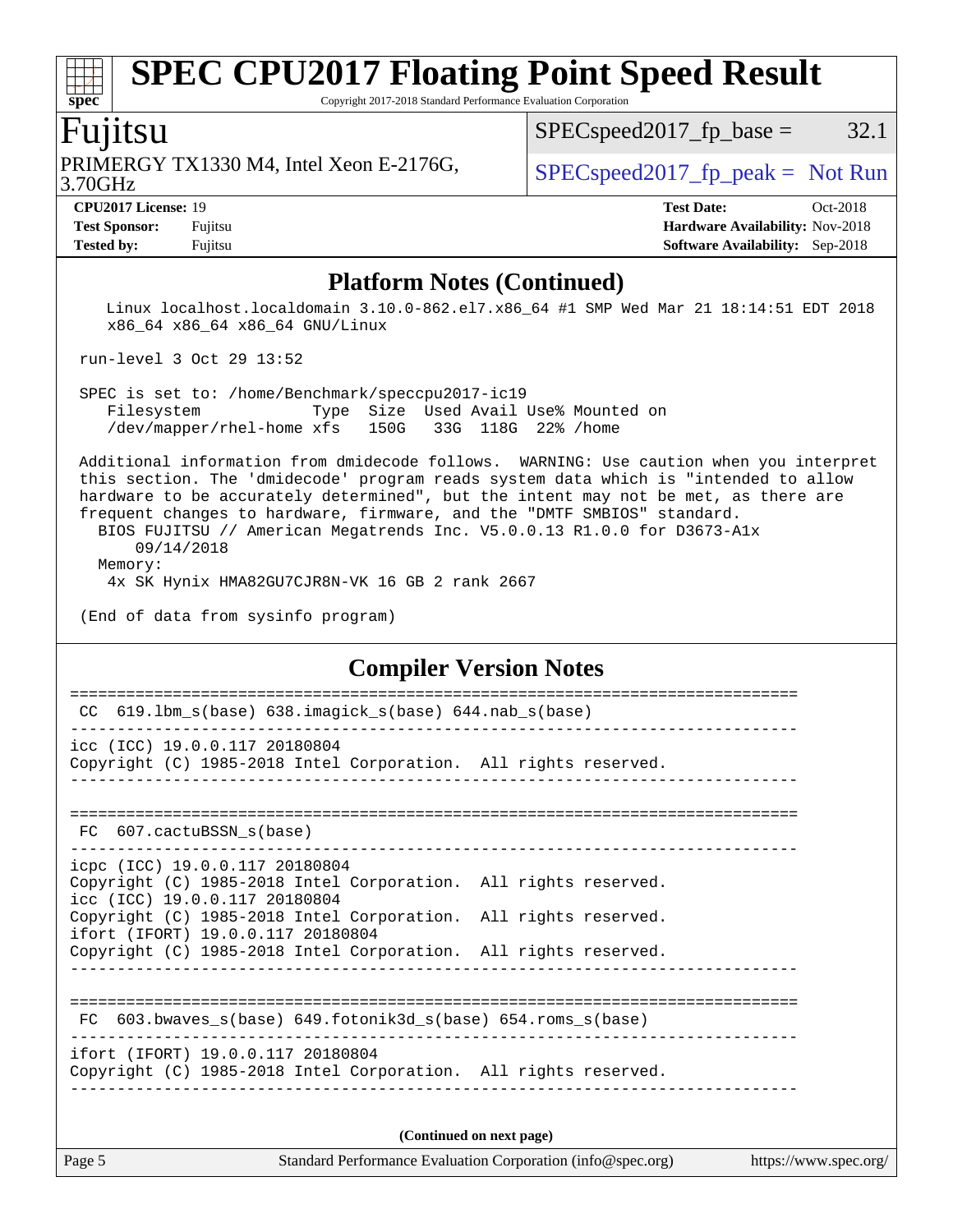Copyright 2017-2018 Standard Performance Evaluation Corporation

### Fujitsu

3.70GHz PRIMERGY TX1330 M4, Intel Xeon E-2176G,  $\vert$  [SPECspeed2017\\_fp\\_peak =](http://www.spec.org/auto/cpu2017/Docs/result-fields.html#SPECspeed2017fppeak) Not Run

 $SPEC speed2017_fp\_base = 32.1$ 

**[spec](http://www.spec.org/)**

**[CPU2017 License:](http://www.spec.org/auto/cpu2017/Docs/result-fields.html#CPU2017License)** 19 **[Test Date:](http://www.spec.org/auto/cpu2017/Docs/result-fields.html#TestDate)** Oct-2018 **[Test Sponsor:](http://www.spec.org/auto/cpu2017/Docs/result-fields.html#TestSponsor)** Fujitsu **[Hardware Availability:](http://www.spec.org/auto/cpu2017/Docs/result-fields.html#HardwareAvailability)** Nov-2018 **[Tested by:](http://www.spec.org/auto/cpu2017/Docs/result-fields.html#Testedby)** Fujitsu **[Software Availability:](http://www.spec.org/auto/cpu2017/Docs/result-fields.html#SoftwareAvailability)** Sep-2018

### **[Platform Notes \(Continued\)](http://www.spec.org/auto/cpu2017/Docs/result-fields.html#PlatformNotes)**

 Linux localhost.localdomain 3.10.0-862.el7.x86\_64 #1 SMP Wed Mar 21 18:14:51 EDT 2018 x86\_64 x86\_64 x86\_64 GNU/Linux

run-level 3 Oct 29 13:52

 SPEC is set to: /home/Benchmark/speccpu2017-ic19 Filesystem Type Size Used Avail Use% Mounted on /dev/mapper/rhel-home xfs 150G 33G 118G 22% /home

 Additional information from dmidecode follows. WARNING: Use caution when you interpret this section. The 'dmidecode' program reads system data which is "intended to allow hardware to be accurately determined", but the intent may not be met, as there are frequent changes to hardware, firmware, and the "DMTF SMBIOS" standard.

 BIOS FUJITSU // American Megatrends Inc. V5.0.0.13 R1.0.0 for D3673-A1x 09/14/2018 Memory:

4x SK Hynix HMA82GU7CJR8N-VK 16 GB 2 rank 2667

(End of data from sysinfo program)

### **[Compiler Version Notes](http://www.spec.org/auto/cpu2017/Docs/result-fields.html#CompilerVersionNotes)**

| 619.1bm_s(base) 638.imagick_s(base) 644.nab_s(base)<br>CC                                                                                                               |
|-------------------------------------------------------------------------------------------------------------------------------------------------------------------------|
| icc (ICC) 19.0.0.117 20180804<br>Copyright (C) 1985-2018 Intel Corporation. All rights reserved.                                                                        |
| FC 607.cactuBSSN_s(base)                                                                                                                                                |
| icpc (ICC) 19.0.0.117 20180804<br>Copyright (C) 1985-2018 Intel Corporation. All rights reserved.<br>icc (ICC) 19.0.0.117 20180804                                      |
| Copyright (C) 1985-2018 Intel Corporation. All rights reserved.<br>ifort (IFORT) 19.0.0.117 20180804<br>Copyright (C) 1985-2018 Intel Corporation. All rights reserved. |
|                                                                                                                                                                         |
| 603.bwaves $s(base)$ 649.fotonik3d $s(base)$ 654.roms $s(base)$<br>FC                                                                                                   |
| ifort (IFORT) 19.0.0.117 20180804<br>Copyright (C) 1985-2018 Intel Corporation. All rights reserved.                                                                    |
| (Continued on next page)                                                                                                                                                |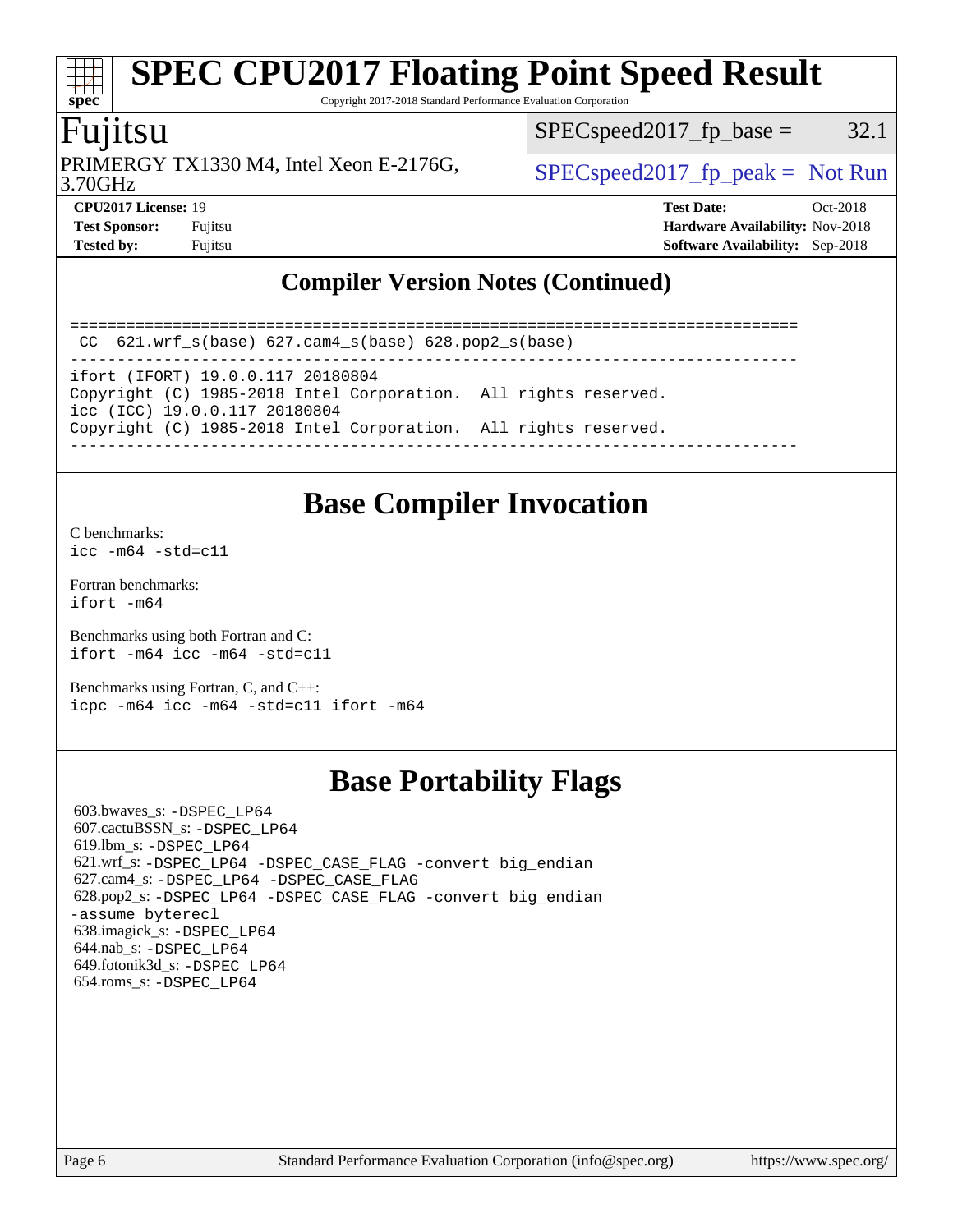Copyright 2017-2018 Standard Performance Evaluation Corporation

### Fujitsu

PRIMERGY TX1330 M4, Intel Xeon E-2176G,  $\vert$  [SPECspeed2017\\_fp\\_peak =](http://www.spec.org/auto/cpu2017/Docs/result-fields.html#SPECspeed2017fppeak) Not Run

 $SPEC speed2017_f p\_base = 32.1$ 

3.70GHz

**[spec](http://www.spec.org/)**

**[CPU2017 License:](http://www.spec.org/auto/cpu2017/Docs/result-fields.html#CPU2017License)** 19 **[Test Date:](http://www.spec.org/auto/cpu2017/Docs/result-fields.html#TestDate)** Oct-2018 **[Test Sponsor:](http://www.spec.org/auto/cpu2017/Docs/result-fields.html#TestSponsor)** Fujitsu **[Hardware Availability:](http://www.spec.org/auto/cpu2017/Docs/result-fields.html#HardwareAvailability)** Nov-2018 **[Tested by:](http://www.spec.org/auto/cpu2017/Docs/result-fields.html#Testedby)** Fujitsu **[Software Availability:](http://www.spec.org/auto/cpu2017/Docs/result-fields.html#SoftwareAvailability)** Sep-2018

### **[Compiler Version Notes \(Continued\)](http://www.spec.org/auto/cpu2017/Docs/result-fields.html#CompilerVersionNotes)**

==============================================================================

 CC 621.wrf\_s(base) 627.cam4\_s(base) 628.pop2\_s(base) ------------------------------------------------------------------------------

ifort (IFORT) 19.0.0.117 20180804

Copyright (C) 1985-2018 Intel Corporation. All rights reserved. icc (ICC) 19.0.0.117 20180804

Copyright (C) 1985-2018 Intel Corporation. All rights reserved.

------------------------------------------------------------------------------

### **[Base Compiler Invocation](http://www.spec.org/auto/cpu2017/Docs/result-fields.html#BaseCompilerInvocation)**

[C benchmarks](http://www.spec.org/auto/cpu2017/Docs/result-fields.html#Cbenchmarks):  $icc - m64 - std = c11$ 

[Fortran benchmarks](http://www.spec.org/auto/cpu2017/Docs/result-fields.html#Fortranbenchmarks): [ifort -m64](http://www.spec.org/cpu2017/results/res2018q4/cpu2017-20181113-09800.flags.html#user_FCbase_intel_ifort_64bit_24f2bb282fbaeffd6157abe4f878425411749daecae9a33200eee2bee2fe76f3b89351d69a8130dd5949958ce389cf37ff59a95e7a40d588e8d3a57e0c3fd751)

[Benchmarks using both Fortran and C](http://www.spec.org/auto/cpu2017/Docs/result-fields.html#BenchmarksusingbothFortranandC): [ifort -m64](http://www.spec.org/cpu2017/results/res2018q4/cpu2017-20181113-09800.flags.html#user_CC_FCbase_intel_ifort_64bit_24f2bb282fbaeffd6157abe4f878425411749daecae9a33200eee2bee2fe76f3b89351d69a8130dd5949958ce389cf37ff59a95e7a40d588e8d3a57e0c3fd751) [icc -m64 -std=c11](http://www.spec.org/cpu2017/results/res2018q4/cpu2017-20181113-09800.flags.html#user_CC_FCbase_intel_icc_64bit_c11_33ee0cdaae7deeeab2a9725423ba97205ce30f63b9926c2519791662299b76a0318f32ddfffdc46587804de3178b4f9328c46fa7c2b0cd779d7a61945c91cd35)

[Benchmarks using Fortran, C, and C++:](http://www.spec.org/auto/cpu2017/Docs/result-fields.html#BenchmarksusingFortranCandCXX) [icpc -m64](http://www.spec.org/cpu2017/results/res2018q4/cpu2017-20181113-09800.flags.html#user_CC_CXX_FCbase_intel_icpc_64bit_4ecb2543ae3f1412ef961e0650ca070fec7b7afdcd6ed48761b84423119d1bf6bdf5cad15b44d48e7256388bc77273b966e5eb805aefd121eb22e9299b2ec9d9) [icc -m64 -std=c11](http://www.spec.org/cpu2017/results/res2018q4/cpu2017-20181113-09800.flags.html#user_CC_CXX_FCbase_intel_icc_64bit_c11_33ee0cdaae7deeeab2a9725423ba97205ce30f63b9926c2519791662299b76a0318f32ddfffdc46587804de3178b4f9328c46fa7c2b0cd779d7a61945c91cd35) [ifort -m64](http://www.spec.org/cpu2017/results/res2018q4/cpu2017-20181113-09800.flags.html#user_CC_CXX_FCbase_intel_ifort_64bit_24f2bb282fbaeffd6157abe4f878425411749daecae9a33200eee2bee2fe76f3b89351d69a8130dd5949958ce389cf37ff59a95e7a40d588e8d3a57e0c3fd751)

### **[Base Portability Flags](http://www.spec.org/auto/cpu2017/Docs/result-fields.html#BasePortabilityFlags)**

 603.bwaves\_s: [-DSPEC\\_LP64](http://www.spec.org/cpu2017/results/res2018q4/cpu2017-20181113-09800.flags.html#suite_basePORTABILITY603_bwaves_s_DSPEC_LP64) 607.cactuBSSN\_s: [-DSPEC\\_LP64](http://www.spec.org/cpu2017/results/res2018q4/cpu2017-20181113-09800.flags.html#suite_basePORTABILITY607_cactuBSSN_s_DSPEC_LP64) 619.lbm\_s: [-DSPEC\\_LP64](http://www.spec.org/cpu2017/results/res2018q4/cpu2017-20181113-09800.flags.html#suite_basePORTABILITY619_lbm_s_DSPEC_LP64) 621.wrf\_s: [-DSPEC\\_LP64](http://www.spec.org/cpu2017/results/res2018q4/cpu2017-20181113-09800.flags.html#suite_basePORTABILITY621_wrf_s_DSPEC_LP64) [-DSPEC\\_CASE\\_FLAG](http://www.spec.org/cpu2017/results/res2018q4/cpu2017-20181113-09800.flags.html#b621.wrf_s_baseCPORTABILITY_DSPEC_CASE_FLAG) [-convert big\\_endian](http://www.spec.org/cpu2017/results/res2018q4/cpu2017-20181113-09800.flags.html#user_baseFPORTABILITY621_wrf_s_convert_big_endian_c3194028bc08c63ac5d04de18c48ce6d347e4e562e8892b8bdbdc0214820426deb8554edfa529a3fb25a586e65a3d812c835984020483e7e73212c4d31a38223) 627.cam4\_s: [-DSPEC\\_LP64](http://www.spec.org/cpu2017/results/res2018q4/cpu2017-20181113-09800.flags.html#suite_basePORTABILITY627_cam4_s_DSPEC_LP64) [-DSPEC\\_CASE\\_FLAG](http://www.spec.org/cpu2017/results/res2018q4/cpu2017-20181113-09800.flags.html#b627.cam4_s_baseCPORTABILITY_DSPEC_CASE_FLAG) 628.pop2\_s: [-DSPEC\\_LP64](http://www.spec.org/cpu2017/results/res2018q4/cpu2017-20181113-09800.flags.html#suite_basePORTABILITY628_pop2_s_DSPEC_LP64) [-DSPEC\\_CASE\\_FLAG](http://www.spec.org/cpu2017/results/res2018q4/cpu2017-20181113-09800.flags.html#b628.pop2_s_baseCPORTABILITY_DSPEC_CASE_FLAG) [-convert big\\_endian](http://www.spec.org/cpu2017/results/res2018q4/cpu2017-20181113-09800.flags.html#user_baseFPORTABILITY628_pop2_s_convert_big_endian_c3194028bc08c63ac5d04de18c48ce6d347e4e562e8892b8bdbdc0214820426deb8554edfa529a3fb25a586e65a3d812c835984020483e7e73212c4d31a38223) [-assume byterecl](http://www.spec.org/cpu2017/results/res2018q4/cpu2017-20181113-09800.flags.html#user_baseFPORTABILITY628_pop2_s_assume_byterecl_7e47d18b9513cf18525430bbf0f2177aa9bf368bc7a059c09b2c06a34b53bd3447c950d3f8d6c70e3faf3a05c8557d66a5798b567902e8849adc142926523472) 638.imagick\_s: [-DSPEC\\_LP64](http://www.spec.org/cpu2017/results/res2018q4/cpu2017-20181113-09800.flags.html#suite_basePORTABILITY638_imagick_s_DSPEC_LP64) 644.nab\_s: [-DSPEC\\_LP64](http://www.spec.org/cpu2017/results/res2018q4/cpu2017-20181113-09800.flags.html#suite_basePORTABILITY644_nab_s_DSPEC_LP64) 649.fotonik3d\_s: [-DSPEC\\_LP64](http://www.spec.org/cpu2017/results/res2018q4/cpu2017-20181113-09800.flags.html#suite_basePORTABILITY649_fotonik3d_s_DSPEC_LP64) 654.roms\_s: [-DSPEC\\_LP64](http://www.spec.org/cpu2017/results/res2018q4/cpu2017-20181113-09800.flags.html#suite_basePORTABILITY654_roms_s_DSPEC_LP64)